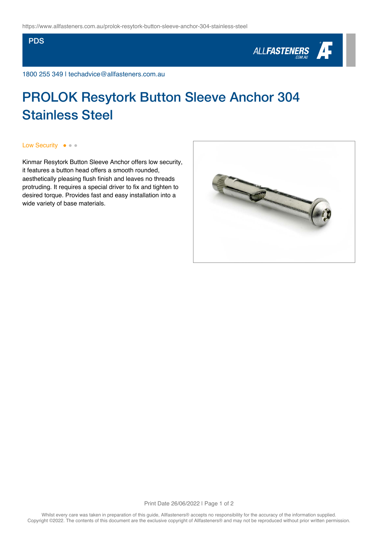## **PDS**



1800 255 349 | techadvice@allfasteners.com.au

## PROLOK Resytork Button Sleeve Anchor 304 Stainless Steel

Low Security ● ● ●

Kinmar Resytork Button Sleeve Anchor offers low security, it features a button head offers a smooth rounded, aesthetically pleasing flush finish and leaves no threads protruding. It requires a special driver to fix and tighten to desired torque. Provides fast and easy installation into a wide variety of base materials.